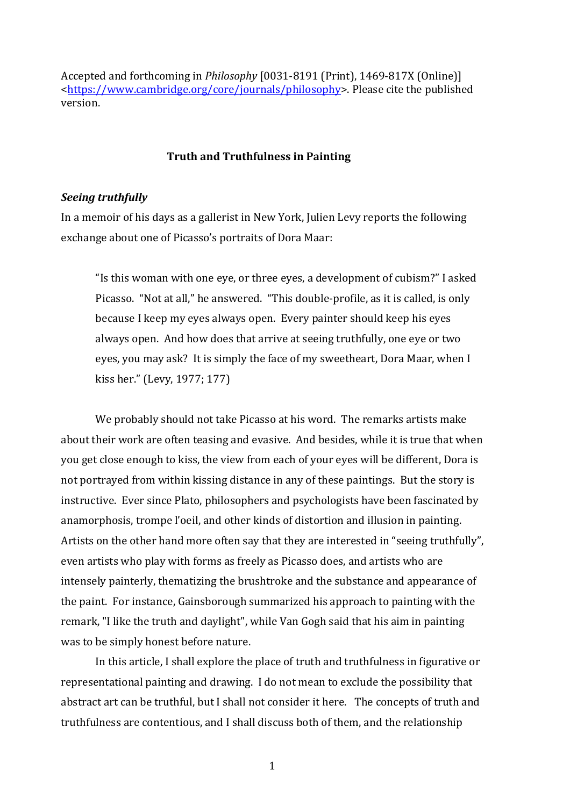Accepted and forthcoming in *Philosophy* [0031-8191 (Print), 1469-817X (Online)] [<https://www.cambridge.org/core/journals/philosophy>](https://www.cambridge.org/core/journals/philosophy). Please cite the published version.

### **Truth and Truthfulness in Painting**

# *Seeing truthfully*

In a memoir of his days as a gallerist in New York, Julien Levy reports the following exchange about one of Picasso's portraits of Dora Maar:

"Is this woman with one eye, or three eyes, a development of cubism?" I asked Picasso. "Not at all," he answered. "This double-profile, as it is called, is only because I keep my eyes always open. Every painter should keep his eyes always open. And how does that arrive at seeing truthfully, one eye or two eyes, you may ask? It is simply the face of my sweetheart, Dora Maar, when I kiss her." (Levy, 1977; 177)

We probably should not take Picasso at his word. The remarks artists make about their work are often teasing and evasive. And besides, while it is true that when you get close enough to kiss, the view from each of your eyes will be different, Dora is not portrayed from within kissing distance in any of these paintings. But the story is instructive. Ever since Plato, philosophers and psychologists have been fascinated by anamorphosis, trompe l'oeil, and other kinds of distortion and illusion in painting. Artists on the other hand more often say that they are interested in "seeing truthfully", even artists who play with forms as freely as Picasso does, and artists who are intensely painterly, thematizing the brushtroke and the substance and appearance of the paint. For instance, Gainsborough summarized his approach to painting with the remark, "I like the truth and daylight", while Van Gogh said that his aim in painting was to be simply honest before nature.

In this article, I shall explore the place of truth and truthfulness in figurative or representational painting and drawing. I do not mean to exclude the possibility that abstract art can be truthful, but I shall not consider it here. The concepts of truth and truthfulness are contentious, and I shall discuss both of them, and the relationship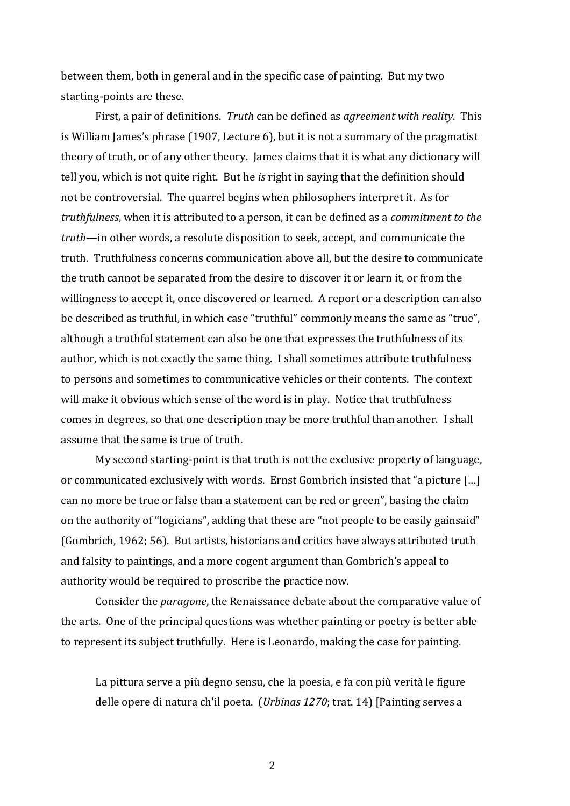between them, both in general and in the specific case of painting. But my two starting-points are these.

First, a pair of definitions. *Truth* can be defined as *agreement with reality*. This is William James's phrase (1907, Lecture 6), but it is not a summary of the pragmatist theory of truth, or of any other theory. James claims that it is what any dictionary will tell you, which is not quite right. But he *is* right in saying that the definition should not be controversial. The quarrel begins when philosophers interpret it. As for *truthfulness*, when it is attributed to a person, it can be defined as a *commitment to the truth*—in other words, a resolute disposition to seek, accept, and communicate the truth. Truthfulness concerns communication above all, but the desire to communicate the truth cannot be separated from the desire to discover it or learn it, or from the willingness to accept it, once discovered or learned. A report or a description can also be described as truthful, in which case "truthful" commonly means the same as "true", although a truthful statement can also be one that expresses the truthfulness of its author, which is not exactly the same thing. I shall sometimes attribute truthfulness to persons and sometimes to communicative vehicles or their contents. The context will make it obvious which sense of the word is in play. Notice that truthfulness comes in degrees, so that one description may be more truthful than another. I shall assume that the same is true of truth.

My second starting-point is that truth is not the exclusive property of language, or communicated exclusively with words. Ernst Gombrich insisted that "a picture […] can no more be true or false than a statement can be red or green", basing the claim on the authority of "logicians", adding that these are "not people to be easily gainsaid" (Gombrich, 1962; 56). But artists, historians and critics have always attributed truth and falsity to paintings, and a more cogent argument than Gombrich's appeal to authority would be required to proscribe the practice now.

Consider the *paragone*, the Renaissance debate about the comparative value of the arts. One of the principal questions was whether painting or poetry is better able to represent its subject truthfully. Here is Leonardo, making the case for painting.

La pittura serve a più degno sensu, che la poesia, e fa con più verità le figure delle opere di natura ch'il poeta.(*Urbinas 1270*; trat. 14) [Painting serves a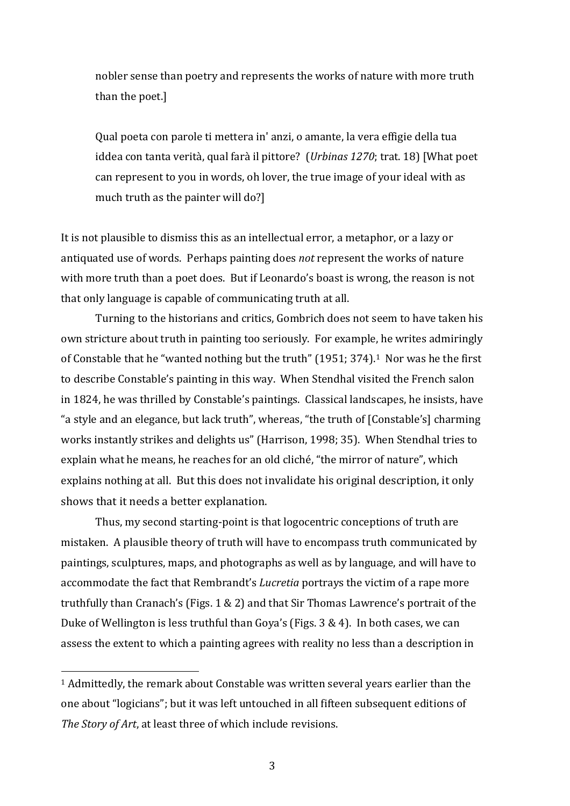nobler sense than poetry and represents the works of nature with more truth than the poet.]

Qual poeta con parole ti mettera in' anzi, o amante, la vera effigie della tua iddea con tanta verità, qual farà il pittore? (*Urbinas 1270*; trat. 18) [What poet can represent to you in words, oh lover, the true image of your ideal with as much truth as the painter will do?]

It is not plausible to dismiss this as an intellectual error, a metaphor, or a lazy or antiquated use of words. Perhaps painting does *not* represent the works of nature with more truth than a poet does. But if Leonardo's boast is wrong, the reason is not that only language is capable of communicating truth at all.

Turning to the historians and critics, Gombrich does not seem to have taken his own stricture about truth in painting too seriously. For example, he writes admiringly of Constable that he "wanted nothing but the truth" (1951; 374).1 Nor was he the first to describe Constable's painting in this way. When Stendhal visited the French salon in 1824, he was thrilled by Constable's paintings. Classical landscapes, he insists, have "a style and an elegance, but lack truth", whereas, "the truth of [Constable's] charming works instantly strikes and delights us" (Harrison, 1998; 35). When Stendhal tries to explain what he means, he reaches for an old cliché, "the mirror of nature", which explains nothing at all. But this does not invalidate his original description, it only shows that it needs a better explanation.

Thus, my second starting-point is that logocentric conceptions of truth are mistaken. A plausible theory of truth will have to encompass truth communicated by paintings, sculptures, maps, and photographs as well as by language, and will have to accommodate the fact that Rembrandt's *Lucretia* portrays the victim of a rape more truthfully than Cranach's (Figs. 1 & 2) and that Sir Thomas Lawrence's portrait of the Duke of Wellington is less truthful than Goya's (Figs. 3 & 4). In both cases, we can assess the extent to which a painting agrees with reality no less than a description in

<sup>1</sup> Admittedly, the remark about Constable was written several years earlier than the one about "logicians"; but it was left untouched in all fifteen subsequent editions of *The Story of Art*, at least three of which include revisions.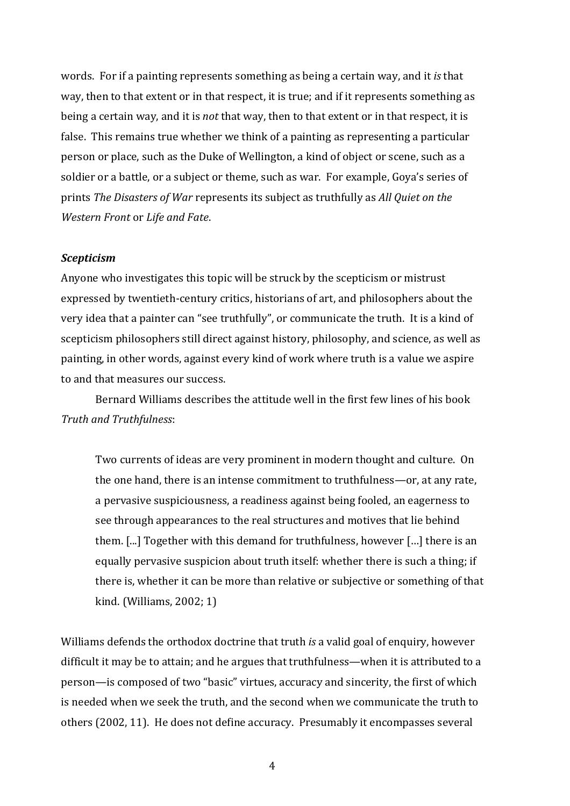words. For if a painting represents something as being a certain way, and it *is* that way, then to that extent or in that respect, it is true; and if it represents something as being a certain way, and it is *not* that way, then to that extent or in that respect, it is false. This remains true whether we think of a painting as representing a particular person or place, such as the Duke of Wellington, a kind of object or scene, such as a soldier or a battle, or a subject or theme, such as war. For example, Goya's series of prints *The Disasters of War* represents its subject as truthfully as *All Quiet on the Western Front* or *Life and Fate*.

#### *Scepticism*

Anyone who investigates this topic will be struck by the scepticism or mistrust expressed by twentieth-century critics, historians of art, and philosophers about the very idea that a painter can "see truthfully", or communicate the truth. It is a kind of scepticism philosophers still direct against history, philosophy, and science, as well as painting, in other words, against every kind of work where truth is a value we aspire to and that measures our success.

Bernard Williams describes the attitude well in the first few lines of his book *Truth and Truthfulness*:

Two currents of ideas are very prominent in modern thought and culture. On the one hand, there is an intense commitment to truthfulness—or, at any rate, a pervasive suspiciousness, a readiness against being fooled, an eagerness to see through appearances to the real structures and motives that lie behind them. [...] Together with this demand for truthfulness, however […] there is an equally pervasive suspicion about truth itself: whether there is such a thing; if there is, whether it can be more than relative or subjective or something of that kind. (Williams, 2002; 1)

Williams defends the orthodox doctrine that truth *is* a valid goal of enquiry, however difficult it may be to attain; and he argues that truthfulness—when it is attributed to a person—is composed of two "basic" virtues, accuracy and sincerity, the first of which is needed when we seek the truth, and the second when we communicate the truth to others (2002, 11). He does not define accuracy. Presumably it encompasses several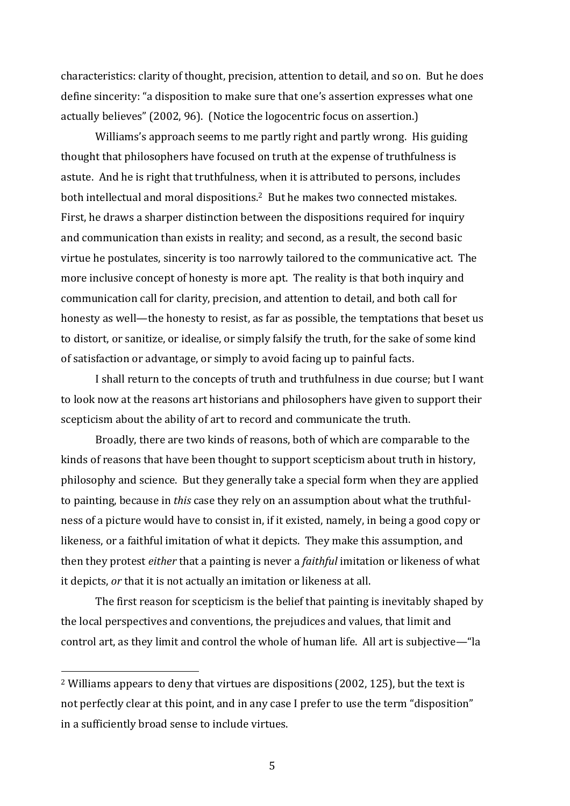characteristics: clarity of thought, precision, attention to detail, and so on. But he does define sincerity: "a disposition to make sure that one's assertion expresses what one actually believes" (2002, 96). (Notice the logocentric focus on assertion.)

Williams's approach seems to me partly right and partly wrong. His guiding thought that philosophers have focused on truth at the expense of truthfulness is astute. And he is right that truthfulness, when it is attributed to persons, includes both intellectual and moral dispositions. <sup>2</sup> But he makes two connected mistakes. First, he draws a sharper distinction between the dispositions required for inquiry and communication than exists in reality; and second, as a result, the second basic virtue he postulates, sincerity is too narrowly tailored to the communicative act. The more inclusive concept of honesty is more apt. The reality is that both inquiry and communication call for clarity, precision, and attention to detail, and both call for honesty as well—the honesty to resist, as far as possible, the temptations that beset us to distort, or sanitize, or idealise, or simply falsify the truth, for the sake of some kind of satisfaction or advantage, or simply to avoid facing up to painful facts.

I shall return to the concepts of truth and truthfulness in due course; but I want to look now at the reasons art historians and philosophers have given to support their scepticism about the ability of art to record and communicate the truth.

Broadly, there are two kinds of reasons, both of which are comparable to the kinds of reasons that have been thought to support scepticism about truth in history, philosophy and science. But they generally take a special form when they are applied to painting, because in *this* case they rely on an assumption about what the truthfulness of a picture would have to consist in, if it existed, namely, in being a good copy or likeness, or a faithful imitation of what it depicts. They make this assumption, and then they protest *either* that a painting is never a *faithful* imitation or likeness of what it depicts, *or* that it is not actually an imitation or likeness at all.

The first reason for scepticism is the belief that painting is inevitably shaped by the local perspectives and conventions, the prejudices and values, that limit and control art, as they limit and control the whole of human life. All art is subjective—"la

<sup>2</sup> Williams appears to deny that virtues are dispositions (2002, 125), but the text is not perfectly clear at this point, and in any case I prefer to use the term "disposition" in a sufficiently broad sense to include virtues.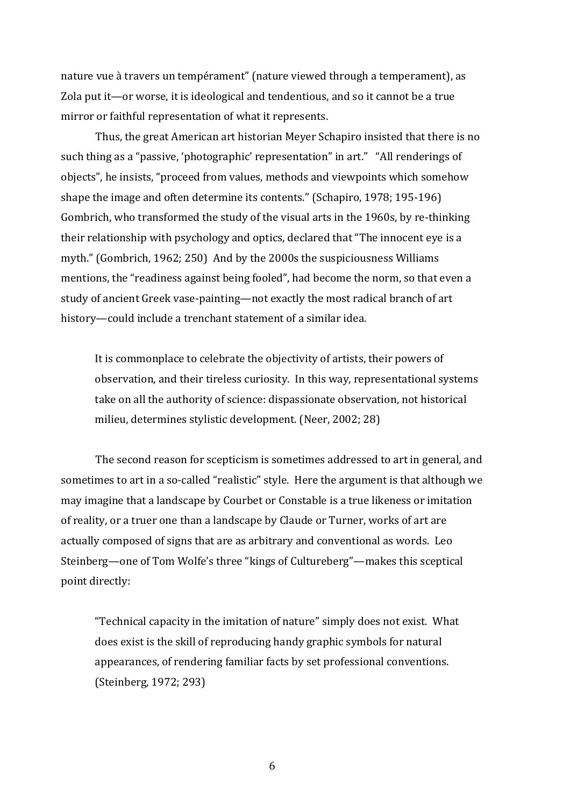nature vue à travers un tempérament" (nature viewed through a temperament), as Zola put it—or worse, it is ideological and tendentious, and so it cannot be a true mirror or faithful representation of what it represents.

Thus, the great American art historian Meyer Schapiro insisted that there is no such thing as a "passive, 'photographic' representation" in art." "All renderings of objects", he insists, "proceed from values, methods and viewpoints which somehow shape the image and often determine its contents." (Schapiro, 1978; 195-196) Gombrich, who transformed the study of the visual arts in the 1960s, by re-thinking their relationship with psychology and optics, declared that "The innocent eye is a myth." (Gombrich, 1962; 250) And by the 2000s the suspiciousness Williams mentions, the "readiness against being fooled", had become the norm, so that even a study of ancient Greek vase-painting—not exactly the most radical branch of art history—could include a trenchant statement of a similar idea.

It is commonplace to celebrate the objectivity of artists, their powers of observation, and their tireless curiosity. In this way, representational systems take on all the authority of science: dispassionate observation, not historical milieu, determines stylistic development. (Neer, 2002; 28)

The second reason for scepticism is sometimes addressed to art in general, and sometimes to art in a so-called "realistic" style. Here the argument is that although we may imagine that a landscape by Courbet or Constable is a true likeness or imitation of reality, or a truer one than a landscape by Claude or Turner, works of art are actually composed of signs that are as arbitrary and conventional as words. Leo Steinberg—one of Tom Wolfe's three "kings of Cultureberg"—makes this sceptical point directly:

"Technical capacity in the imitation of nature" simply does not exist. What does exist is the skill of reproducing handy graphic symbols for natural appearances, of rendering familiar facts by set professional conventions. (Steinberg, 1972; 293)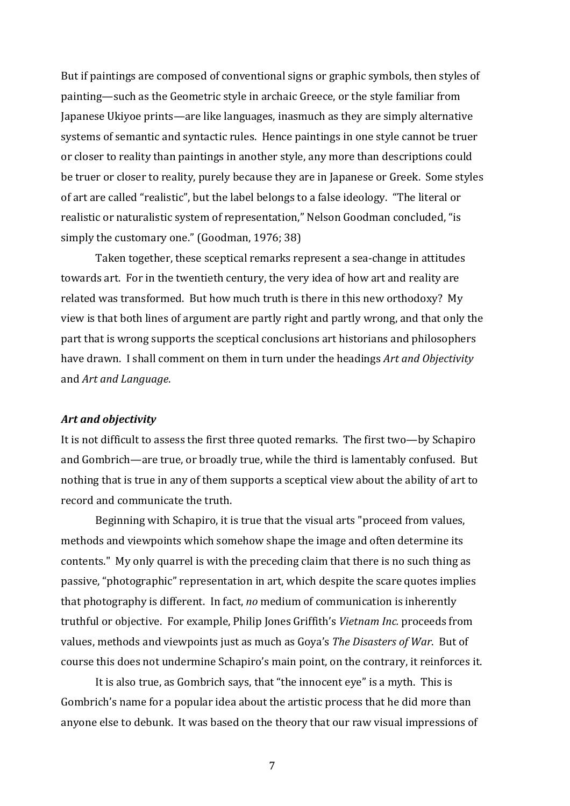But if paintings are composed of conventional signs or graphic symbols, then styles of painting—such as the Geometric style in archaic Greece, or the style familiar from Japanese Ukiyoe prints—are like languages, inasmuch as they are simply alternative systems of semantic and syntactic rules. Hence paintings in one style cannot be truer or closer to reality than paintings in another style, any more than descriptions could be truer or closer to reality, purely because they are in Japanese or Greek. Some styles of art are called "realistic", but the label belongs to a false ideology. "The literal or realistic or naturalistic system of representation," Nelson Goodman concluded, "is simply the customary one." (Goodman, 1976; 38)

Taken together, these sceptical remarks represent a sea-change in attitudes towards art. For in the twentieth century, the very idea of how art and reality are related was transformed. But how much truth is there in this new orthodoxy? My view is that both lines of argument are partly right and partly wrong, and that only the part that is wrong supports the sceptical conclusions art historians and philosophers have drawn. I shall comment on them in turn under the headings *Art and Objectivity* and *Art and Language*.

#### *Art and objectivity*

It is not difficult to assess the first three quoted remarks. The first two—by Schapiro and Gombrich—are true, or broadly true, while the third is lamentably confused. But nothing that is true in any of them supports a sceptical view about the ability of art to record and communicate the truth.

Beginning with Schapiro, it is true that the visual arts "proceed from values, methods and viewpoints which somehow shape the image and often determine its contents." My only quarrel is with the preceding claim that there is no such thing as passive, "photographic" representation in art, which despite the scare quotes implies that photography is different. In fact, *no* medium of communication is inherently truthful or objective. For example, Philip Jones Griffith's *Vietnam Inc.* proceeds from values, methods and viewpoints just as much as Goya's *The Disasters of War*. But of course this does not undermine Schapiro's main point, on the contrary, it reinforces it.

It is also true, as Gombrich says, that "the innocent eye" is a myth. This is Gombrich's name for a popular idea about the artistic process that he did more than anyone else to debunk. It was based on the theory that our raw visual impressions of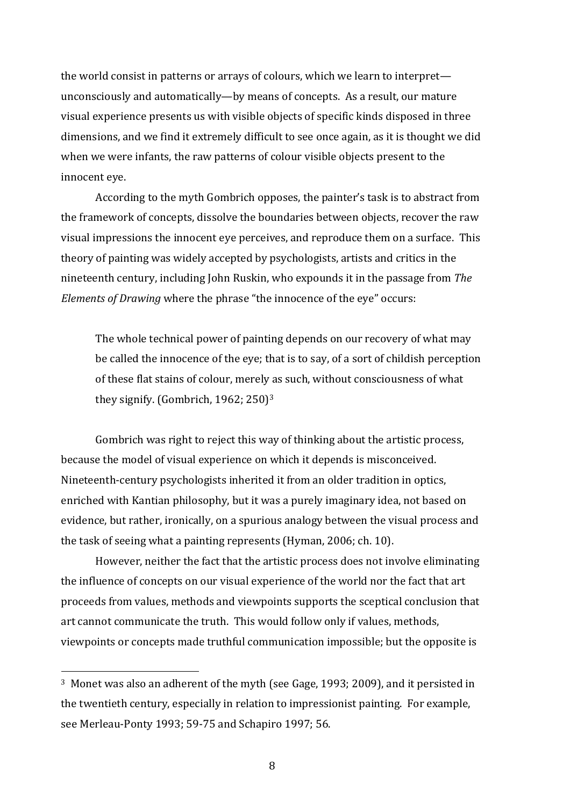the world consist in patterns or arrays of colours, which we learn to interpret unconsciously and automatically—by means of concepts. As a result, our mature visual experience presents us with visible objects of specific kinds disposed in three dimensions, and we find it extremely difficult to see once again, as it is thought we did when we were infants, the raw patterns of colour visible objects present to the innocent eye.

According to the myth Gombrich opposes, the painter's task is to abstract from the framework of concepts, dissolve the boundaries between objects, recover the raw visual impressions the innocent eye perceives, and reproduce them on a surface. This theory of painting was widely accepted by psychologists, artists and critics in the nineteenth century, including John Ruskin, who expounds it in the passage from *The Elements of Drawing* where the phrase "the innocence of the eye" occurs:

The whole technical power of painting depends on our recovery of what may be called the innocence of the eye; that is to say, of a sort of childish perception of these flat stains of colour, merely as such, without consciousness of what they signify. (Gombrich, 1962; 250)<sup>3</sup>

Gombrich was right to reject this way of thinking about the artistic process, because the model of visual experience on which it depends is misconceived. Nineteenth-century psychologists inherited it from an older tradition in optics, enriched with Kantian philosophy, but it was a purely imaginary idea, not based on evidence, but rather, ironically, on a spurious analogy between the visual process and the task of seeing what a painting represents (Hyman, 2006; ch. 10).

However, neither the fact that the artistic process does not involve eliminating the influence of concepts on our visual experience of the world nor the fact that art proceeds from values, methods and viewpoints supports the sceptical conclusion that art cannot communicate the truth. This would follow only if values, methods, viewpoints or concepts made truthful communication impossible; but the opposite is

<sup>3</sup> Monet was also an adherent of the myth (see Gage, 1993; 2009), and it persisted in the twentieth century, especially in relation to impressionist painting. For example, see Merleau-Ponty 1993; 59-75 and Schapiro 1997; 56.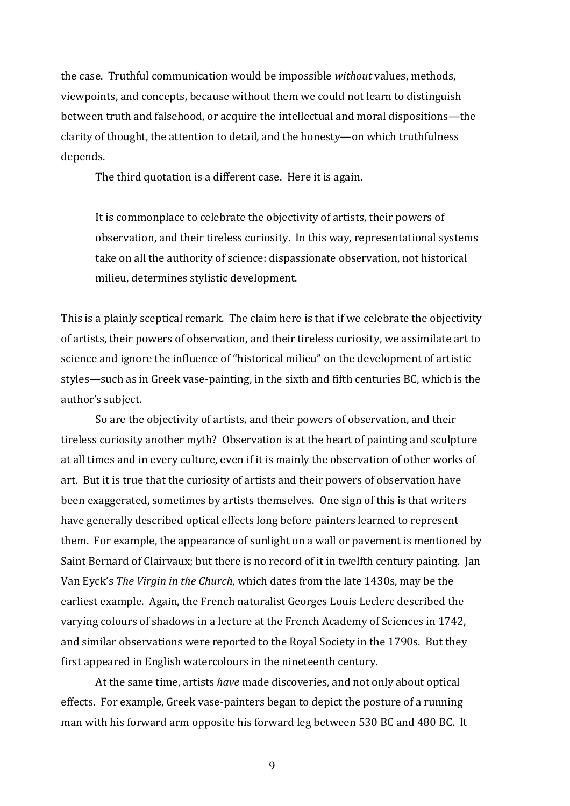the case. Truthful communication would be impossible *without* values, methods, viewpoints, and concepts, because without them we could not learn to distinguish between truth and falsehood, or acquire the intellectual and moral dispositions—the clarity of thought, the attention to detail, and the honesty—on which truthfulness depends.

The third quotation is a different case. Here it is again.

It is commonplace to celebrate the objectivity of artists, their powers of observation, and their tireless curiosity. In this way, representational systems take on all the authority of science: dispassionate observation, not historical milieu, determines stylistic development.

This is a plainly sceptical remark. The claim here is that if we celebrate the objectivity of artists, their powers of observation, and their tireless curiosity, we assimilate art to science and ignore the influence of "historical milieu" on the development of artistic styles—such as in Greek vase-painting, in the sixth and fifth centuries BC, which is the author's subject.

So are the objectivity of artists, and their powers of observation, and their tireless curiosity another myth? Observation is at the heart of painting and sculpture at all times and in every culture, even if it is mainly the observation of other works of art. But it is true that the curiosity of artists and their powers of observation have been exaggerated, sometimes by artists themselves. One sign of this is that writers have generally described optical effects long before painters learned to represent them. For example, the appearance of sunlight on a wall or pavement is mentioned by Saint Bernard of Clairvaux; but there is no record of it in twelfth century painting. Jan Van Eyck's *The Virgin in the Church*, which dates from the late 1430s, may be the earliest example. Again, the French naturalist Georges Louis Leclerc described the varying colours of shadows in a lecture at the French Academy of Sciences in 1742, and similar observations were reported to the Royal Society in the 1790s. But they first appeared in English watercolours in the nineteenth century.

At the same time, artists *have* made discoveries, and not only about optical effects. For example, Greek vase-painters began to depict the posture of a running man with his forward arm opposite his forward leg between 530 BC and 480 BC. It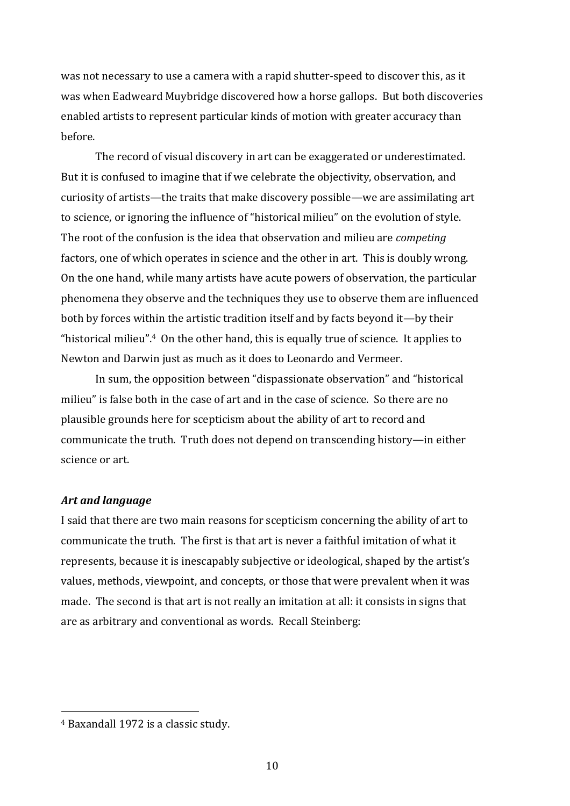was not necessary to use a camera with a rapid shutter-speed to discover this, as it was when Eadweard Muybridge discovered how a horse gallops. But both discoveries enabled artists to represent particular kinds of motion with greater accuracy than before.

The record of visual discovery in art can be exaggerated or underestimated. But it is confused to imagine that if we celebrate the objectivity, observation, and curiosity of artists—the traits that make discovery possible—we are assimilating art to science, or ignoring the influence of "historical milieu" on the evolution of style. The root of the confusion is the idea that observation and milieu are *competing*  factors, one of which operates in science and the other in art. This is doubly wrong. On the one hand, while many artists have acute powers of observation, the particular phenomena they observe and the techniques they use to observe them are influenced both by forces within the artistic tradition itself and by facts beyond it—by their "historical milieu".4 On the other hand, this is equally true of science. It applies to Newton and Darwin just as much as it does to Leonardo and Vermeer.

In sum, the opposition between "dispassionate observation" and "historical milieu" is false both in the case of art and in the case of science. So there are no plausible grounds here for scepticism about the ability of art to record and communicate the truth. Truth does not depend on transcending history—in either science or art.

#### *Art and language*

I said that there are two main reasons for scepticism concerning the ability of art to communicate the truth. The first is that art is never a faithful imitation of what it represents, because it is inescapably subjective or ideological, shaped by the artist's values, methods, viewpoint, and concepts, or those that were prevalent when it was made. The second is that art is not really an imitation at all: it consists in signs that are as arbitrary and conventional as words. Recall Steinberg:

<sup>4</sup> Baxandall 1972 is a classic study.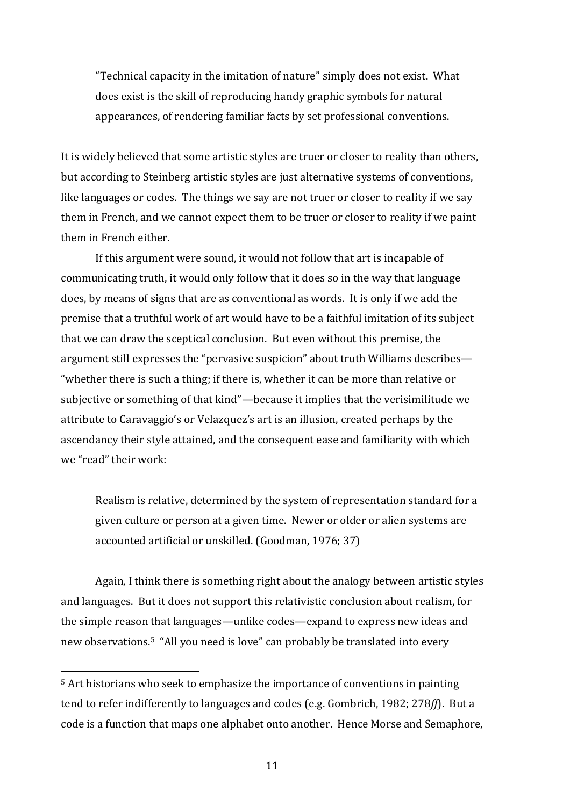"Technical capacity in the imitation of nature" simply does not exist. What does exist is the skill of reproducing handy graphic symbols for natural appearances, of rendering familiar facts by set professional conventions.

It is widely believed that some artistic styles are truer or closer to reality than others, but according to Steinberg artistic styles are just alternative systems of conventions, like languages or codes. The things we say are not truer or closer to reality if we say them in French, and we cannot expect them to be truer or closer to reality if we paint them in French either.

If this argument were sound, it would not follow that art is incapable of communicating truth, it would only follow that it does so in the way that language does, by means of signs that are as conventional as words. It is only if we add the premise that a truthful work of art would have to be a faithful imitation of its subject that we can draw the sceptical conclusion. But even without this premise, the argument still expresses the "pervasive suspicion" about truth Williams describes— "whether there is such a thing; if there is, whether it can be more than relative or subjective or something of that kind"—because it implies that the verisimilitude we attribute to Caravaggio's or Velazquez's art is an illusion, created perhaps by the ascendancy their style attained, and the consequent ease and familiarity with which we "read" their work:

Realism is relative, determined by the system of representation standard for a given culture or person at a given time. Newer or older or alien systems are accounted artificial or unskilled. (Goodman, 1976; 37)

Again, I think there is something right about the analogy between artistic styles and languages. But it does not support this relativistic conclusion about realism, for the simple reason that languages—unlike codes—expand to express new ideas and new observations.<sup>5</sup> "All you need is love" can probably be translated into every

<sup>5</sup> Art historians who seek to emphasize the importance of conventions in painting tend to refer indifferently to languages and codes (e.g. Gombrich, 1982; 278*ff*). But a code is a function that maps one alphabet onto another. Hence Morse and Semaphore,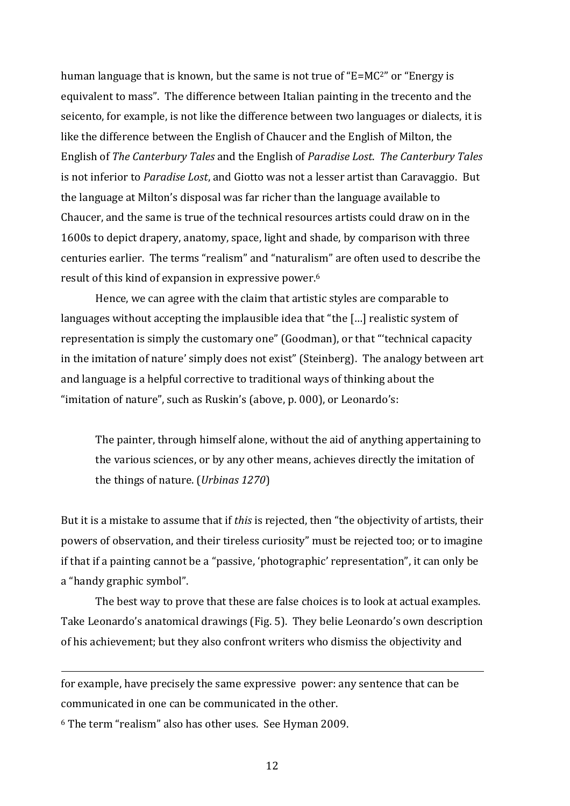human language that is known, but the same is not true of "E=MC2" or "Energy is equivalent to mass". The difference between Italian painting in the trecento and the seicento, for example, is not like the difference between two languages or dialects, it is like the difference between the English of Chaucer and the English of Milton, the English of *The Canterbury Tales* and the English of *Paradise Lost*. *The Canterbury Tales* is not inferior to *Paradise Lost*, and Giotto was not a lesser artist than Caravaggio. But the language at Milton's disposal was far richer than the language available to Chaucer, and the same is true of the technical resources artists could draw on in the 1600s to depict drapery, anatomy, space, light and shade, by comparison with three centuries earlier. The terms "realism" and "naturalism" are often used to describe the result of this kind of expansion in expressive power.<sup>6</sup>

Hence, we can agree with the claim that artistic styles are comparable to languages without accepting the implausible idea that "the […] realistic system of representation is simply the customary one" (Goodman), or that "'technical capacity in the imitation of nature' simply does not exist" (Steinberg). The analogy between art and language is a helpful corrective to traditional ways of thinking about the "imitation of nature", such as Ruskin's (above, p. 000), or Leonardo's:

The painter, through himself alone, without the aid of anything appertaining to the various sciences, or by any other means, achieves directly the imitation of the things of nature. (*Urbinas 1270*)

But it is a mistake to assume that if *this* is rejected, then "the objectivity of artists, their powers of observation, and their tireless curiosity" must be rejected too; or to imagine if that if a painting cannot be a "passive, 'photographic' representation", it can only be a "handy graphic symbol".

The best way to prove that these are false choices is to look at actual examples. Take Leonardo's anatomical drawings (Fig. 5). They belie Leonardo's own description of his achievement; but they also confront writers who dismiss the objectivity and

for example, have precisely the same expressive power: any sentence that can be communicated in one can be communicated in the other.

<sup>6</sup> The term "realism" also has other uses. See Hyman 2009.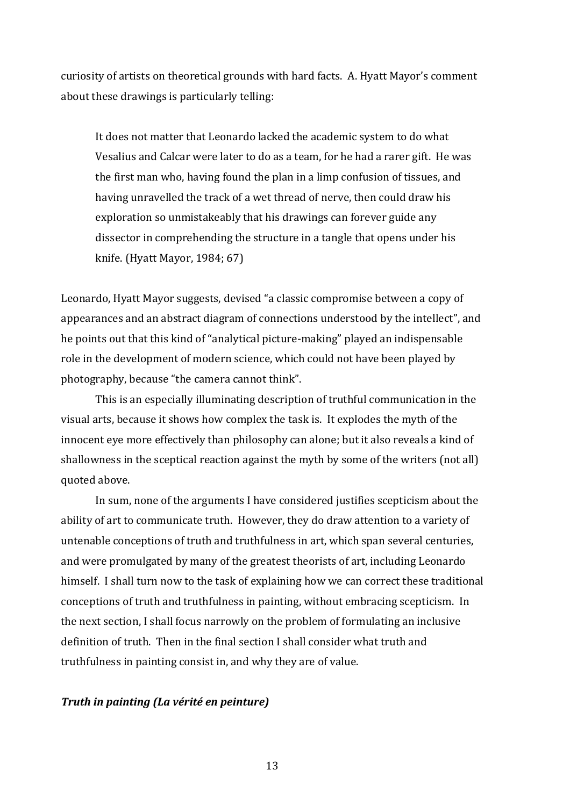curiosity of artists on theoretical grounds with hard facts. A. Hyatt Mayor's comment about these drawings is particularly telling:

It does not matter that Leonardo lacked the academic system to do what Vesalius and Calcar were later to do as a team, for he had a rarer gift. He was the first man who, having found the plan in a limp confusion of tissues, and having unravelled the track of a wet thread of nerve, then could draw his exploration so unmistakeably that his drawings can forever guide any dissector in comprehending the structure in a tangle that opens under his knife. (Hyatt Mayor, 1984; 67)

Leonardo, Hyatt Mayor suggests, devised "a classic compromise between a copy of appearances and an abstract diagram of connections understood by the intellect", and he points out that this kind of "analytical picture-making" played an indispensable role in the development of modern science, which could not have been played by photography, because "the camera cannot think".

This is an especially illuminating description of truthful communication in the visual arts, because it shows how complex the task is. It explodes the myth of the innocent eye more effectively than philosophy can alone; but it also reveals a kind of shallowness in the sceptical reaction against the myth by some of the writers (not all) quoted above.

In sum, none of the arguments I have considered justifies scepticism about the ability of art to communicate truth. However, they do draw attention to a variety of untenable conceptions of truth and truthfulness in art, which span several centuries, and were promulgated by many of the greatest theorists of art, including Leonardo himself. I shall turn now to the task of explaining how we can correct these traditional conceptions of truth and truthfulness in painting, without embracing scepticism. In the next section, I shall focus narrowly on the problem of formulating an inclusive definition of truth. Then in the final section I shall consider what truth and truthfulness in painting consist in, and why they are of value.

# *Truth in painting (La vérité en peinture)*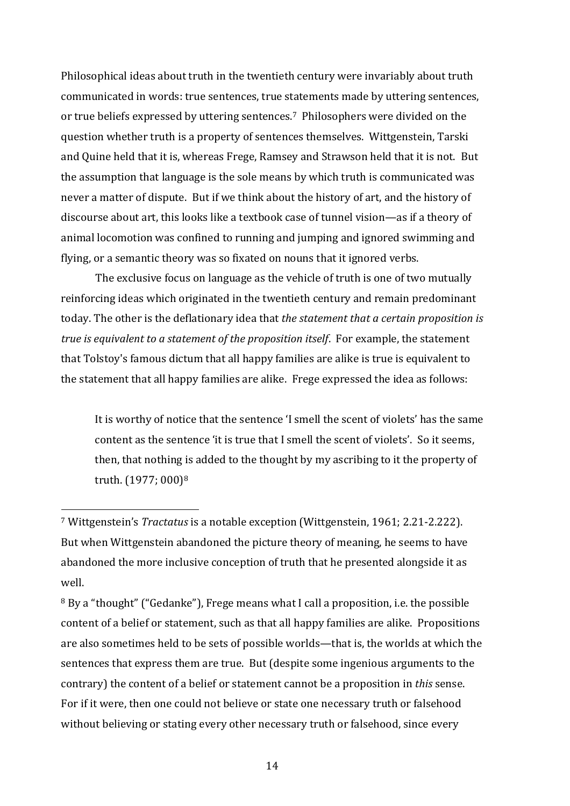Philosophical ideas about truth in the twentieth century were invariably about truth communicated in words: true sentences, true statements made by uttering sentences, or true beliefs expressed by uttering sentences.7 Philosophers were divided on the question whether truth is a property of sentences themselves. Wittgenstein, Tarski and Quine held that it is, whereas Frege, Ramsey and Strawson held that it is not. But the assumption that language is the sole means by which truth is communicated was never a matter of dispute. But if we think about the history of art, and the history of discourse about art, this looks like a textbook case of tunnel vision—as if a theory of animal locomotion was confined to running and jumping and ignored swimming and flying, or a semantic theory was so fixated on nouns that it ignored verbs.

The exclusive focus on language as the vehicle of truth is one of two mutually reinforcing ideas which originated in the twentieth century and remain predominant today. The other is the deflationary idea that *the statement that a certain proposition is true is equivalent to a statement of the proposition itself*. For example, the statement that Tolstoy's famous dictum that all happy families are alike is true is equivalent to the statement that all happy families are alike. Frege expressed the idea as follows:

It is worthy of notice that the sentence 'I smell the scent of violets' has the same content as the sentence 'it is true that I smell the scent of violets'. So it seems, then, that nothing is added to the thought by my ascribing to it the property of truth. (1977; 000)<sup>8</sup>

<sup>7</sup> Wittgenstein's *Tractatus* is a notable exception (Wittgenstein, 1961; 2.21-2.222). But when Wittgenstein abandoned the picture theory of meaning, he seems to have abandoned the more inclusive conception of truth that he presented alongside it as well.

<sup>8</sup> By a "thought" ("Gedanke"), Frege means what I call a proposition, i.e. the possible content of a belief or statement, such as that all happy families are alike. Propositions are also sometimes held to be sets of possible worlds—that is, the worlds at which the sentences that express them are true. But (despite some ingenious arguments to the contrary) the content of a belief or statement cannot be a proposition in *this* sense. For if it were, then one could not believe or state one necessary truth or falsehood without believing or stating every other necessary truth or falsehood, since every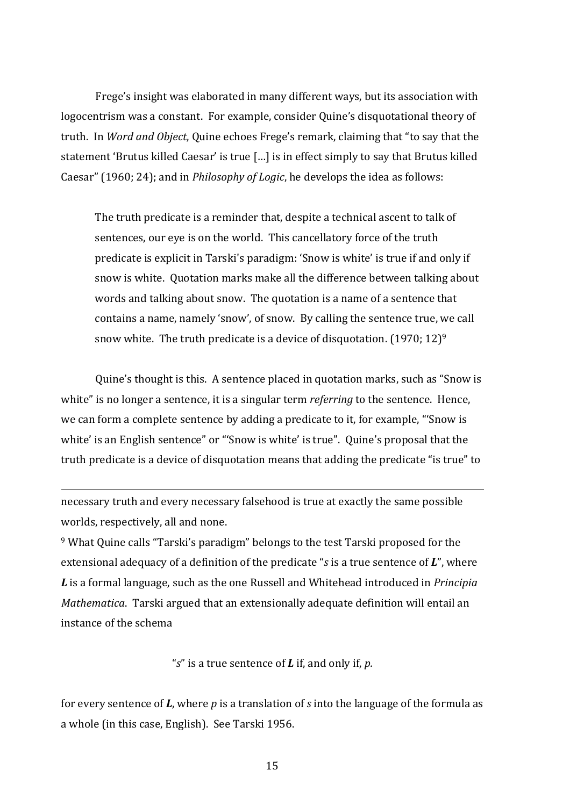Frege's insight was elaborated in many different ways, but its association with logocentrism was a constant. For example, consider Quine's disquotational theory of truth. In *Word and Object*, Quine echoes Frege's remark, claiming that "to say that the statement 'Brutus killed Caesar' is true […] is in effect simply to say that Brutus killed Caesar" (1960; 24); and in *Philosophy of Logic*, he develops the idea as follows:

The truth predicate is a reminder that, despite a technical ascent to talk of sentences, our eye is on the world. This cancellatory force of the truth predicate is explicit in Tarski's paradigm: 'Snow is white' is true if and only if snow is white. Quotation marks make all the difference between talking about words and talking about snow. The quotation is a name of a sentence that contains a name, namely 'snow', of snow. By calling the sentence true, we call snow white. The truth predicate is a device of disquotation.  $(1970; 12)^9$ 

Quine's thought is this. A sentence placed in quotation marks, such as "Snow is white" is no longer a sentence, it is a singular term *referring* to the sentence. Hence, we can form a complete sentence by adding a predicate to it, for example, "'Snow is white' is an English sentence" or "'Snow is white' is true". Quine's proposal that the truth predicate is a device of disquotation means that adding the predicate "is true" to

necessary truth and every necessary falsehood is true at exactly the same possible worlds, respectively, all and none.

<sup>9</sup> What Quine calls "Tarski's paradigm" belongs to the test Tarski proposed for the extensional adequacy of a definition of the predicate "*s* is a true sentence of *L*", where *L* is a formal language, such as the one Russell and Whitehead introduced in *Principia Mathematica*. Tarski argued that an extensionally adequate definition will entail an instance of the schema

"*s*" is a true sentence of *L* if, and only if, *p.*

for every sentence of *L*, where *p* is a translation of *s* into the language of the formula as a whole (in this case, English). See Tarski 1956.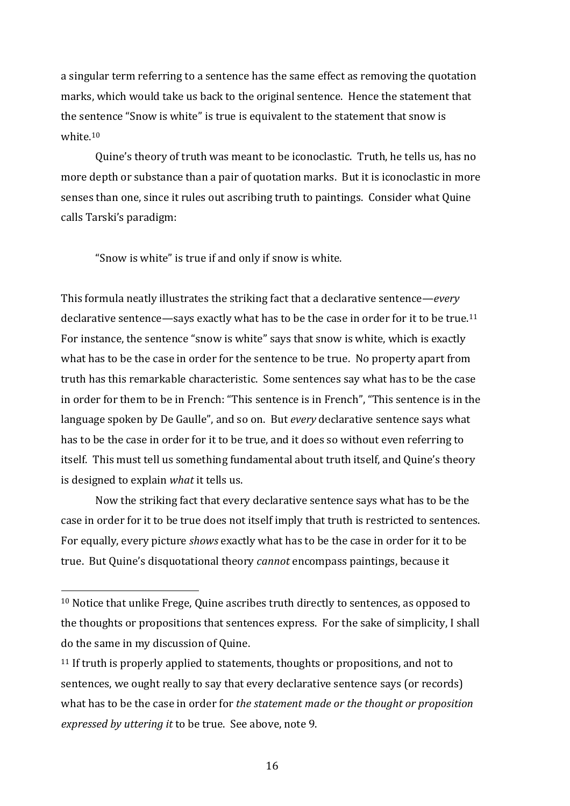a singular term referring to a sentence has the same effect as removing the quotation marks, which would take us back to the original sentence. Hence the statement that the sentence "Snow is white" is true is equivalent to the statement that snow is white. 10

Quine's theory of truth was meant to be iconoclastic. Truth, he tells us, has no more depth or substance than a pair of quotation marks. But it is iconoclastic in more senses than one, since it rules out ascribing truth to paintings. Consider what Quine calls Tarski's paradigm:

"Snow is white" is true if and only if snow is white.

This formula neatly illustrates the striking fact that a declarative sentence—*every*  declarative sentence—says exactly what has to be the case in order for it to be true.<sup>11</sup> For instance, the sentence "snow is white" says that snow is white, which is exactly what has to be the case in order for the sentence to be true. No property apart from truth has this remarkable characteristic. Some sentences say what has to be the case in order for them to be in French: "This sentence is in French", "This sentence is in the language spoken by De Gaulle", and so on. But *every* declarative sentence says what has to be the case in order for it to be true, and it does so without even referring to itself. This must tell us something fundamental about truth itself, and Quine's theory is designed to explain *what* it tells us.

Now the striking fact that every declarative sentence says what has to be the case in order for it to be true does not itself imply that truth is restricted to sentences. For equally, every picture *shows* exactly what has to be the case in order for it to be true. But Quine's disquotational theory *cannot* encompass paintings, because it

<sup>&</sup>lt;sup>10</sup> Notice that unlike Frege, Quine ascribes truth directly to sentences, as opposed to the thoughts or propositions that sentences express. For the sake of simplicity, I shall do the same in my discussion of Quine.

<sup>&</sup>lt;sup>11</sup> If truth is properly applied to statements, thoughts or propositions, and not to sentences, we ought really to say that every declarative sentence says (or records) what has to be the case in order for *the statement made or the thought or proposition expressed by uttering it* to be true. See above, note 9.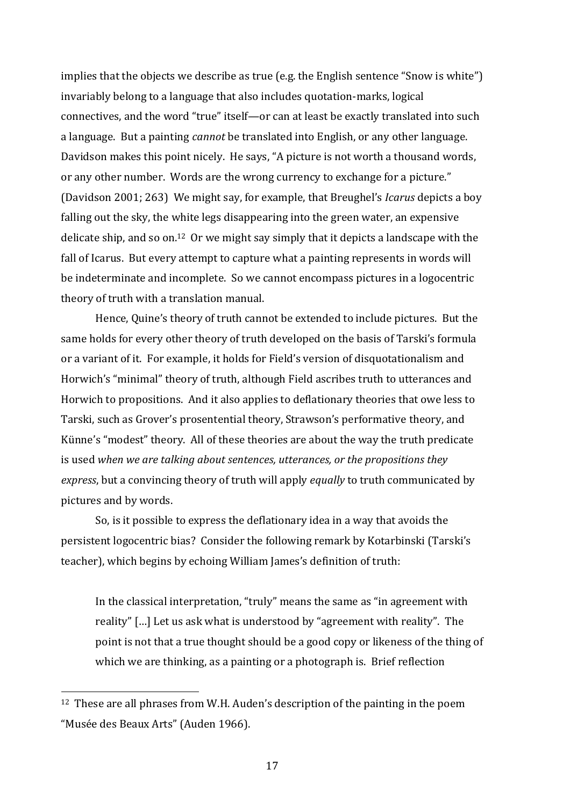implies that the objects we describe as true (e.g. the English sentence "Snow is white") invariably belong to a language that also includes quotation-marks, logical connectives, and the word "true" itself—or can at least be exactly translated into such a language. But a painting *cannot* be translated into English, or any other language. Davidson makes this point nicely. He says, "A picture is not worth a thousand words, or any other number. Words are the wrong currency to exchange for a picture." (Davidson 2001; 263) We might say, for example, that Breughel's *Icarus* depicts a boy falling out the sky, the white legs disappearing into the green water, an expensive delicate ship, and so on.<sup>12</sup> Or we might say simply that it depicts a landscape with the fall of Icarus. But every attempt to capture what a painting represents in words will be indeterminate and incomplete. So we cannot encompass pictures in a logocentric theory of truth with a translation manual.

Hence, Quine's theory of truth cannot be extended to include pictures. But the same holds for every other theory of truth developed on the basis of Tarski's formula or a variant of it. For example, it holds for Field's version of disquotationalism and Horwich's "minimal" theory of truth, although Field ascribes truth to utterances and Horwich to propositions. And it also applies to deflationary theories that owe less to Tarski, such as Grover's prosentential theory, Strawson's performative theory, and Künne's "modest" theory. All of these theories are about the way the truth predicate is used *when we are talking about sentences, utterances, or the propositions they express*, but a convincing theory of truth will apply *equally* to truth communicated by pictures and by words.

So, is it possible to express the deflationary idea in a way that avoids the persistent logocentric bias? Consider the following remark by Kotarbinski (Tarski's teacher), which begins by echoing William James's definition of truth:

In the classical interpretation, "truly" means the same as "in agreement with reality" […] Let us ask what is understood by "agreement with reality". The point is not that a true thought should be a good copy or likeness of the thing of which we are thinking, as a painting or a photograph is. Brief reflection

<sup>&</sup>lt;sup>12</sup> These are all phrases from W.H. Auden's description of the painting in the poem "Musée des Beaux Arts" (Auden 1966).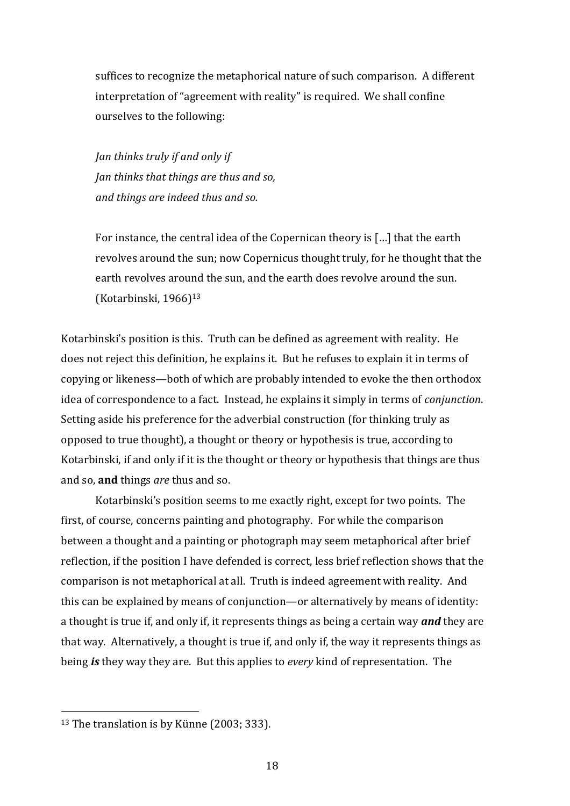suffices to recognize the metaphorical nature of such comparison. A different interpretation of "agreement with reality" is required. We shall confine ourselves to the following:

*Jan thinks truly if and only if Jan thinks that things are thus and so, and things are indeed thus and so.*

For instance, the central idea of the Copernican theory is […] that the earth revolves around the sun; now Copernicus thought truly, for he thought that the earth revolves around the sun, and the earth does revolve around the sun. (Kotarbinski, 1966)<sup>13</sup>

Kotarbinski's position is this. Truth can be defined as agreement with reality. He does not reject this definition, he explains it. But he refuses to explain it in terms of copying or likeness—both of which are probably intended to evoke the then orthodox idea of correspondence to a fact. Instead, he explains it simply in terms of *conjunction*. Setting aside his preference for the adverbial construction (for thinking truly as opposed to true thought), a thought or theory or hypothesis is true, according to Kotarbinski, if and only if it is the thought or theory or hypothesis that things are thus and so, **and** things *are* thus and so.

Kotarbinski's position seems to me exactly right, except for two points. The first, of course, concerns painting and photography. For while the comparison between a thought and a painting or photograph may seem metaphorical after brief reflection, if the position I have defended is correct, less brief reflection shows that the comparison is not metaphorical at all. Truth is indeed agreement with reality. And this can be explained by means of conjunction—or alternatively by means of identity: a thought is true if, and only if, it represents things as being a certain way *and* they are that way. Alternatively, a thought is true if, and only if, the way it represents things as being *is* they way they are. But this applies to *every* kind of representation. The

<sup>&</sup>lt;sup>13</sup> The translation is by Künne (2003; 333).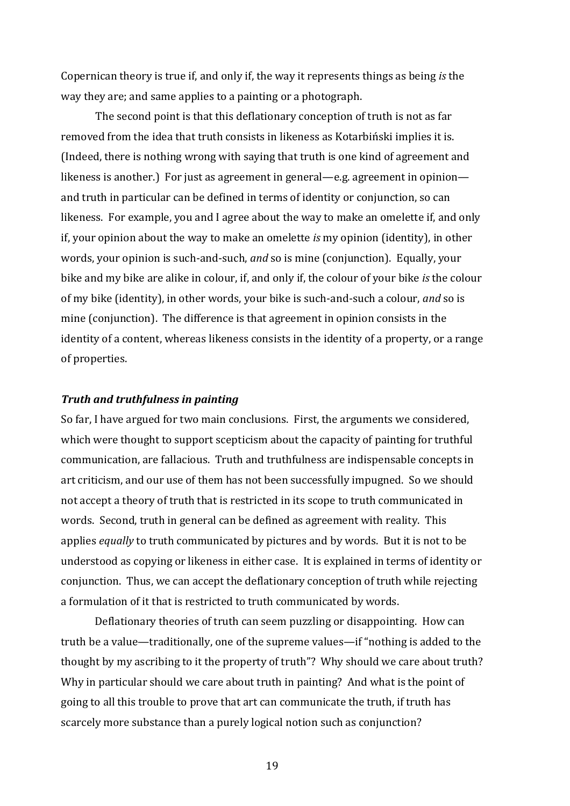Copernican theory is true if, and only if, the way it represents things as being *is* the way they are; and same applies to a painting or a photograph.

The second point is that this deflationary conception of truth is not as far removed from the idea that truth consists in likeness as Kotarbiński implies it is. (Indeed, there is nothing wrong with saying that truth is one kind of agreement and likeness is another.) For just as agreement in general—e.g. agreement in opinion and truth in particular can be defined in terms of identity or conjunction, so can likeness. For example, you and I agree about the way to make an omelette if, and only if, your opinion about the way to make an omelette *is* my opinion (identity), in other words, your opinion is such-and-such, *and* so is mine (conjunction). Equally, your bike and my bike are alike in colour, if, and only if, the colour of your bike *is* the colour of my bike (identity), in other words, your bike is such-and-such a colour, *and* so is mine (conjunction). The difference is that agreement in opinion consists in the identity of a content, whereas likeness consists in the identity of a property, or a range of properties.

#### *Truth and truthfulness in painting*

So far, I have argued for two main conclusions. First, the arguments we considered, which were thought to support scepticism about the capacity of painting for truthful communication, are fallacious. Truth and truthfulness are indispensable concepts in art criticism, and our use of them has not been successfully impugned. So we should not accept a theory of truth that is restricted in its scope to truth communicated in words. Second, truth in general can be defined as agreement with reality. This applies *equally* to truth communicated by pictures and by words. But it is not to be understood as copying or likeness in either case. It is explained in terms of identity or conjunction. Thus, we can accept the deflationary conception of truth while rejecting a formulation of it that is restricted to truth communicated by words.

Deflationary theories of truth can seem puzzling or disappointing. How can truth be a value—traditionally, one of the supreme values—if "nothing is added to the thought by my ascribing to it the property of truth"? Why should we care about truth? Why in particular should we care about truth in painting? And what is the point of going to all this trouble to prove that art can communicate the truth, if truth has scarcely more substance than a purely logical notion such as conjunction?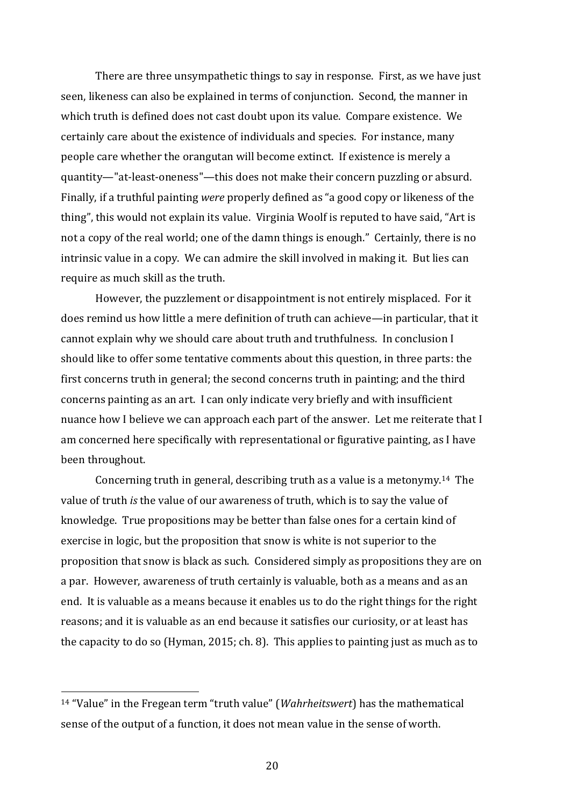There are three unsympathetic things to say in response. First, as we have just seen, likeness can also be explained in terms of conjunction. Second, the manner in which truth is defined does not cast doubt upon its value. Compare existence. We certainly care about the existence of individuals and species. For instance, many people care whether the orangutan will become extinct. If existence is merely a quantity—"at-least-oneness"—this does not make their concern puzzling or absurd. Finally, if a truthful painting *were* properly defined as "a good copy or likeness of the thing", this would not explain its value. Virginia Woolf is reputed to have said, "Art is not a copy of the real world; one of the damn things is enough." Certainly, there is no intrinsic value in a copy. We can admire the skill involved in making it. But lies can require as much skill as the truth.

However, the puzzlement or disappointment is not entirely misplaced. For it does remind us how little a mere definition of truth can achieve—in particular, that it cannot explain why we should care about truth and truthfulness. In conclusion I should like to offer some tentative comments about this question, in three parts: the first concerns truth in general; the second concerns truth in painting; and the third concerns painting as an art. I can only indicate very briefly and with insufficient nuance how I believe we can approach each part of the answer. Let me reiterate that I am concerned here specifically with representational or figurative painting, as I have been throughout.

Concerning truth in general, describing truth as a value is a metonymy.14 The value of truth *is* the value of our awareness of truth, which is to say the value of knowledge. True propositions may be better than false ones for a certain kind of exercise in logic, but the proposition that snow is white is not superior to the proposition that snow is black as such. Considered simply as propositions they are on a par. However, awareness of truth certainly is valuable, both as a means and as an end. It is valuable as a means because it enables us to do the right things for the right reasons; and it is valuable as an end because it satisfies our curiosity, or at least has the capacity to do so (Hyman, 2015; ch. 8). This applies to painting just as much as to

<sup>14</sup> "Value" in the Fregean term "truth value" (*Wahrheitswert*) has the mathematical sense of the output of a function, it does not mean value in the sense of worth.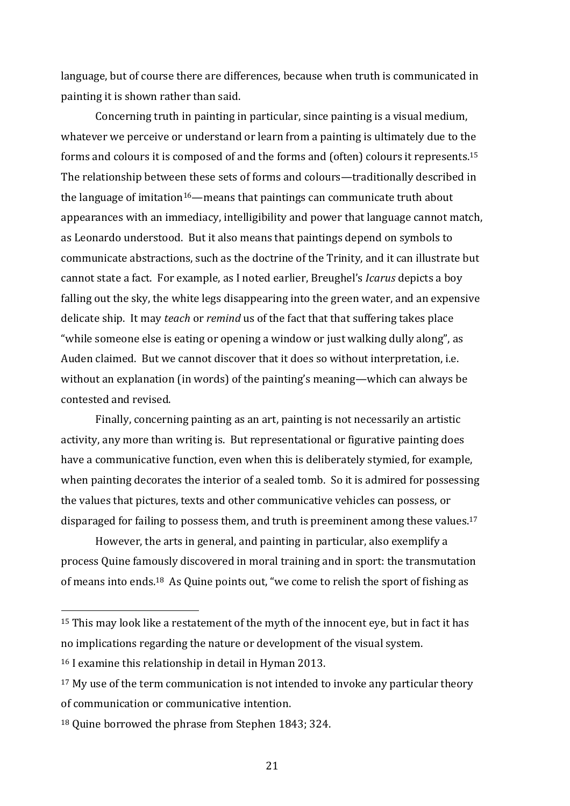language, but of course there are differences, because when truth is communicated in painting it is shown rather than said.

Concerning truth in painting in particular, since painting is a visual medium, whatever we perceive or understand or learn from a painting is ultimately due to the forms and colours it is composed of and the forms and (often) colours it represents.<sup>15</sup> The relationship between these sets of forms and colours—traditionally described in the language of imitation<sup>16</sup>—means that paintings can communicate truth about appearances with an immediacy, intelligibility and power that language cannot match, as Leonardo understood. But it also means that paintings depend on symbols to communicate abstractions, such as the doctrine of the Trinity, and it can illustrate but cannot state a fact. For example, as I noted earlier, Breughel's *Icarus* depicts a boy falling out the sky, the white legs disappearing into the green water, and an expensive delicate ship. It may *teach* or *remind* us of the fact that that suffering takes place "while someone else is eating or opening a window or just walking dully along", as Auden claimed. But we cannot discover that it does so without interpretation, i.e. without an explanation (in words) of the painting's meaning—which can always be contested and revised.

Finally, concerning painting as an art, painting is not necessarily an artistic activity, any more than writing is. But representational or figurative painting does have a communicative function, even when this is deliberately stymied, for example, when painting decorates the interior of a sealed tomb. So it is admired for possessing the values that pictures, texts and other communicative vehicles can possess, or disparaged for failing to possess them, and truth is preeminent among these values.<sup>17</sup>

However, the arts in general, and painting in particular, also exemplify a process Quine famously discovered in moral training and in sport: the transmutation of means into ends.<sup>18</sup> As Quine points out, "we come to relish the sport of fishing as

<sup>&</sup>lt;sup>15</sup> This may look like a restatement of the myth of the innocent eye, but in fact it has no implications regarding the nature or development of the visual system.

<sup>16</sup> I examine this relationship in detail in Hyman 2013.

<sup>&</sup>lt;sup>17</sup> My use of the term communication is not intended to invoke any particular theory of communication or communicative intention.

<sup>18</sup> Quine borrowed the phrase from Stephen 1843; 324.

<sup>21</sup>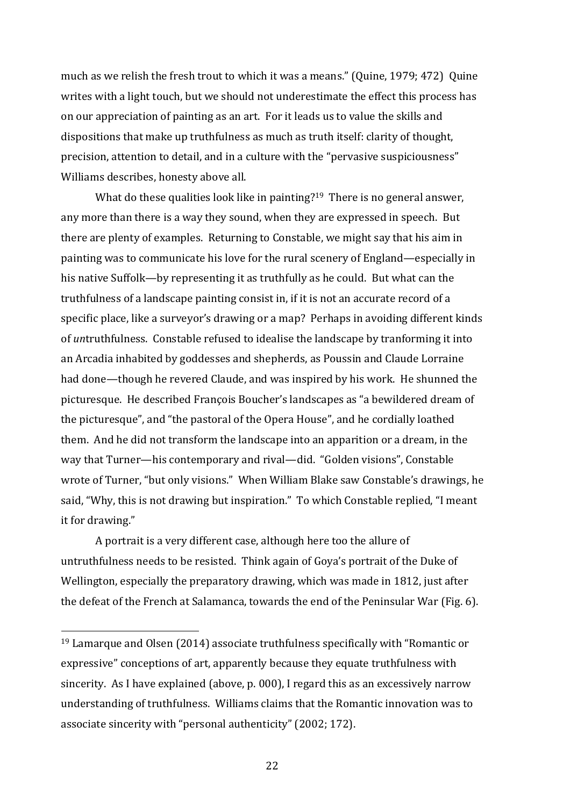much as we relish the fresh trout to which it was a means." (Quine, 1979; 472) Quine writes with a light touch, but we should not underestimate the effect this process has on our appreciation of painting as an art. For it leads us to value the skills and dispositions that make up truthfulness as much as truth itself: clarity of thought, precision, attention to detail, and in a culture with the "pervasive suspiciousness" Williams describes, honesty above all.

What do these qualities look like in painting?<sup>19</sup> There is no general answer, any more than there is a way they sound, when they are expressed in speech. But there are plenty of examples. Returning to Constable, we might say that his aim in painting was to communicate his love for the rural scenery of England—especially in his native Suffolk—by representing it as truthfully as he could. But what can the truthfulness of a landscape painting consist in, if it is not an accurate record of a specific place, like a surveyor's drawing or a map? Perhaps in avoiding different kinds of *un*truthfulness. Constable refused to idealise the landscape by tranforming it into an Arcadia inhabited by goddesses and shepherds, as Poussin and Claude Lorraine had done—though he revered Claude, and was inspired by his work. He shunned the picturesque. He described François Boucher's landscapes as "a bewildered dream of the picturesque", and "the pastoral of the Opera House", and he cordially loathed them. And he did not transform the landscape into an apparition or a dream, in the way that Turner—his contemporary and rival—did. "Golden visions", Constable wrote of Turner, "but only visions." When William Blake saw Constable's drawings, he said, "Why, this is not drawing but inspiration." To which Constable replied, "I meant it for drawing."

A portrait is a very different case, although here too the allure of untruthfulness needs to be resisted. Think again of Goya's portrait of the Duke of Wellington, especially the preparatory drawing, which was made in 1812, just after the defeat of the French at Salamanca, towards the end of the Peninsular War (Fig. 6).

<sup>19</sup> Lamarque and Olsen (2014) associate truthfulness specifically with "Romantic or expressive" conceptions of art, apparently because they equate truthfulness with sincerity. As I have explained (above, p. 000), I regard this as an excessively narrow understanding of truthfulness. Williams claims that the Romantic innovation was to associate sincerity with "personal authenticity" (2002; 172).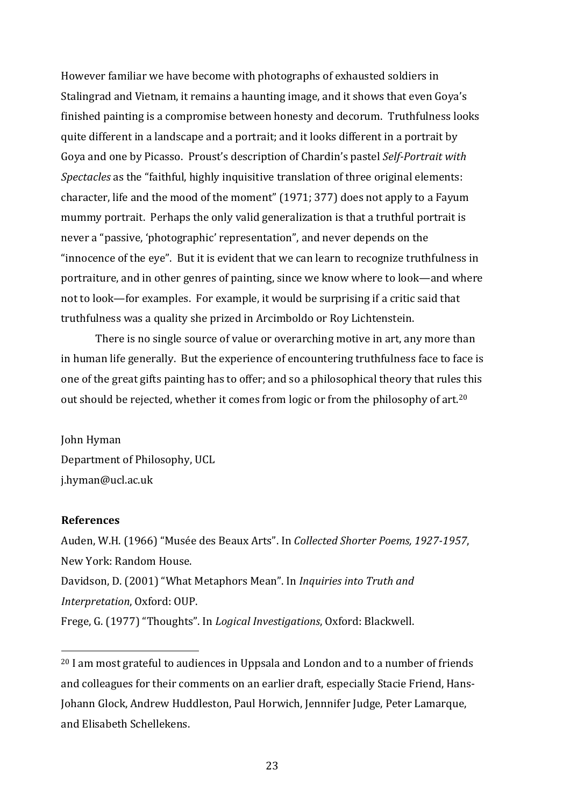However familiar we have become with photographs of exhausted soldiers in Stalingrad and Vietnam, it remains a haunting image, and it shows that even Goya's finished painting is a compromise between honesty and decorum. Truthfulness looks quite different in a landscape and a portrait; and it looks different in a portrait by Goya and one by Picasso. Proust's description of Chardin's pastel *Self-Portrait with Spectacles* as the "faithful, highly inquisitive translation of three original elements: character, life and the mood of the moment" (1971; 377) does not apply to a Fayum mummy portrait. Perhaps the only valid generalization is that a truthful portrait is never a "passive, 'photographic' representation", and never depends on the "innocence of the eye". But it is evident that we can learn to recognize truthfulness in portraiture, and in other genres of painting, since we know where to look—and where not to look—for examples. For example, it would be surprising if a critic said that truthfulness was a quality she prized in Arcimboldo or Roy Lichtenstein.

There is no single source of value or overarching motive in art, any more than in human life generally. But the experience of encountering truthfulness face to face is one of the great gifts painting has to offer; and so a philosophical theory that rules this out should be rejected, whether it comes from logic or from the philosophy of art.<sup>20</sup>

John Hyman Department of Philosophy, UCL j.hyman@ucl.ac.uk

### **References**

Auden, W.H. (1966) "Musée des Beaux Arts". In *Collected Shorter Poems, 1927-1957*, New York: Random House. Davidson, D. (2001) "What Metaphors Mean". In *Inquiries into Truth and Interpretation*, Oxford: OUP. Frege, G. (1977) "Thoughts". In *Logical Investigations*, Oxford: Blackwell.

<sup>&</sup>lt;sup>20</sup> I am most grateful to audiences in Uppsala and London and to a number of friends and colleagues for their comments on an earlier draft, especially Stacie Friend, Hans-Johann Glock, Andrew Huddleston, Paul Horwich, Jennnifer Judge, Peter Lamarque, and Elisabeth Schellekens.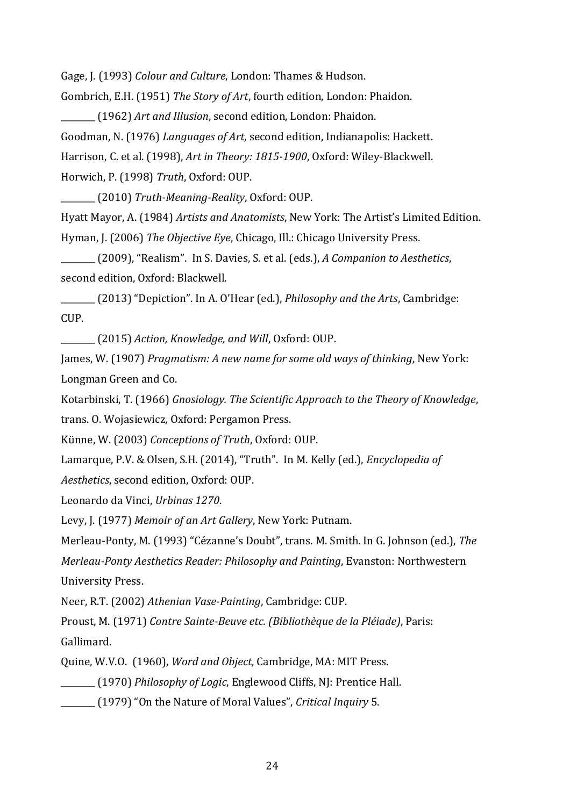Gage, J. (1993) *Colour and Culture*, London: Thames & Hudson.

Gombrich, E.H. (1951) *The Story of Art*, fourth edition, London: Phaidon.

\_\_\_\_\_\_\_\_ (1962) *Art and Illusion*, second edition, London: Phaidon. Goodman, N. (1976) *Languages of Art*, second edition, Indianapolis: Hackett. Harrison, C. et al. (1998), *Art in Theory: 1815-1900*, Oxford: Wiley-Blackwell. Horwich, P. (1998) *Truth*, Oxford: OUP.

\_\_\_\_\_\_\_\_ (2010) *Truth-Meaning-Reality*, Oxford: OUP.

Hyatt Mayor, A. (1984) *Artists and Anatomists*, New York: The Artist's Limited Edition. Hyman, J. (2006) *The Objective Eye*, Chicago, Ill.: Chicago University Press.

\_\_\_\_\_\_\_\_ (2009), "Realism". In S. Davies, S. et al. (eds.), *A Companion to Aesthetics*, second edition, Oxford: Blackwell.

\_\_\_\_\_\_\_\_ (2013) "Depiction". In A. O'Hear (ed.), *Philosophy and the Arts*, Cambridge: CUP.

\_\_\_\_\_\_\_\_ (2015) *Action, Knowledge, and Will*, Oxford: OUP.

James, W. (1907) *Pragmatism: A new name for some old ways of thinking*, New York: Longman Green and Co.

Kotarbinski, T. (1966) *Gnosiology. The Scientific Approach to the Theory of Knowledge*, trans. O. Wojasiewicz, Oxford: Pergamon Press.

Künne, W. (2003) *Conceptions of Truth*, Oxford: OUP.

Lamarque, P.V. & Olsen, S.H. (2014), "Truth". In M. Kelly (ed.), *Encyclopedia of Aesthetics*, second edition, Oxford: OUP.

Leonardo da Vinci, *Urbinas 1270*.

Levy, J. (1977) *Memoir of an Art Gallery*, New York: Putnam.

Merleau-Ponty, M. (1993) "Cézanne's Doubt", trans. M. Smith. In G. Johnson (ed.), *The Merleau-Ponty Aesthetics Reader: Philosophy and Painting*, Evanston: Northwestern University Press.

Neer, R.T. (2002) *Athenian Vase-Painting*, Cambridge: CUP.

Proust, M. (1971) *Contre Sainte-Beuve etc. (Bibliothèque de la Pléiade)*, Paris: Gallimard.

Quine, W.V.O. (1960), *Word and Object*, Cambridge, MA: MIT Press.

\_\_\_\_\_\_\_\_ (1970) *Philosophy of Logic*, Englewood Cliffs, NJ: Prentice Hall.

\_\_\_\_\_\_\_\_ (1979) "On the Nature of Moral Values", *Critical Inquiry* 5.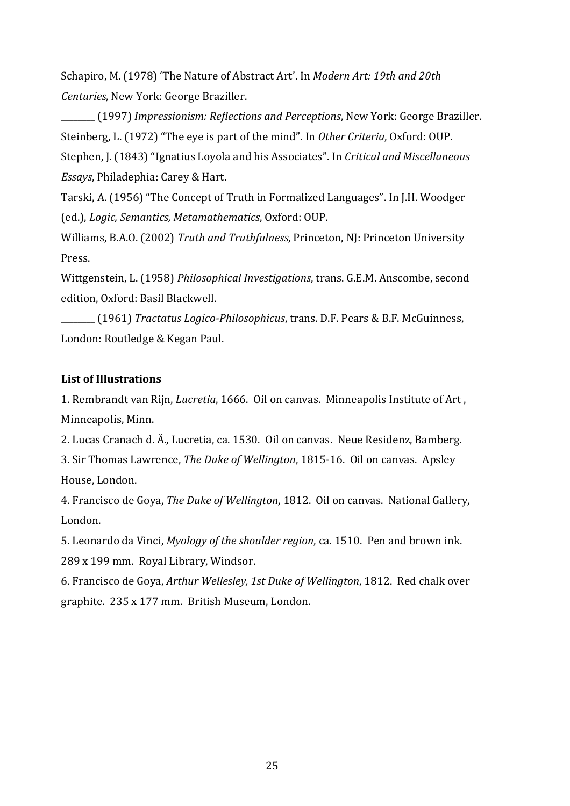Schapiro, M. (1978) 'The Nature of Abstract Art'. In *Modern Art: 19th and 20th Centuries*, New York: George Braziller.

\_\_\_\_\_\_\_\_ (1997) *Impressionism: Reflections and Perceptions*, New York: George Braziller. Steinberg, L. (1972) "The eye is part of the mind". In *Other Criteria*, Oxford: OUP. Stephen, J. (1843) "Ignatius Loyola and his Associates". In *Critical and Miscellaneous Essays*, Philadephia: Carey & Hart.

Tarski, A. (1956) "The Concept of Truth in Formalized Languages". In J.H. Woodger (ed.), *Logic, Semantics, Metamathematics*, Oxford: OUP.

Williams, B.A.O. (2002) *Truth and Truthfulness*, Princeton, NJ: Princeton University Press.

Wittgenstein, L. (1958) *Philosophical Investigations*, trans. G.E.M. Anscombe, second edition, Oxford: Basil Blackwell.

\_\_\_\_\_\_\_\_ (1961) *Tractatus Logico-Philosophicus*, trans. D.F. Pears & B.F. McGuinness, London: Routledge & Kegan Paul.

# **List of Illustrations**

1. Rembrandt van Rijn, *Lucretia*, 1666. Oil on canvas. Minneapolis Institute of Art , Minneapolis, Minn.

2. Lucas Cranach d. Ä., Lucretia, ca. 1530. Oil on canvas. Neue Residenz, Bamberg.

3. Sir Thomas Lawrence, *The Duke of Wellington*, 1815-16. Oil on canvas. Apsley House, London.

4. Francisco de Goya, *The Duke of Wellington*, 1812. Oil on canvas. National Gallery, London.

5. Leonardo da Vinci, *Myology of the shoulder region*, ca. 1510. Pen and brown ink. 289 x 199 mm. Royal Library, Windsor.

6. Francisco de Goya, *Arthur Wellesley, 1st Duke of Wellington*, 1812. Red chalk over graphite. 235 x 177 mm. British Museum, London.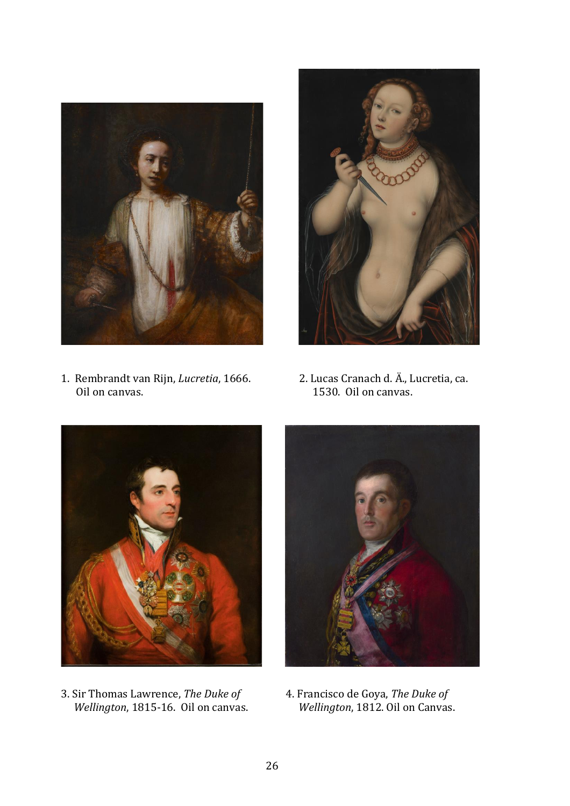

1. Rembrandt van Rijn, *Lucretia*, 1666. 2. Lucas Cranach d. Ä., Lucretia, ca. Oil on canvas. 2012 1530. Oil on canvas.





3. Sir Thomas Lawrence, *The Duke of* 4. Francisco de Goya, *The Duke of Wellington*, 1815-16. Oil on canvas. *Wellington*, 1812. Oil on Canvas.